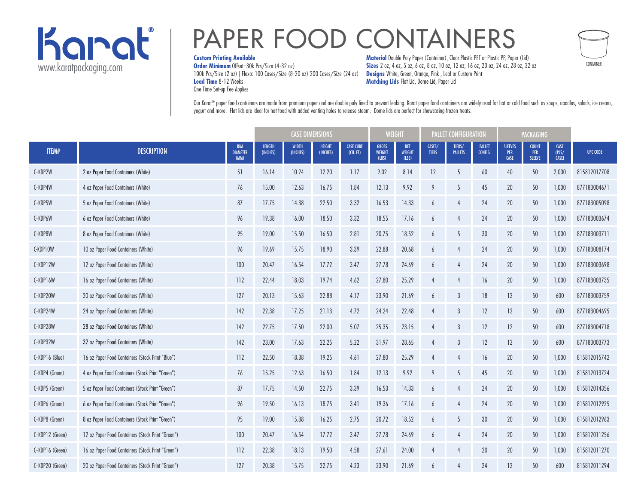

# PAPER FOOD CONTAINERS

#### **Custom Printing Available**

**Order Minimum** Offset: 30k Pcs/Size (4-32 oz) 100k Pcs/Size (2 oz) | Flexo: 100 Cases/Size (8-20 oz) 200 Cases/Size (24 oz) **Lead Time** 8-12 Weeks One Time Set-up Fee Applies

**Material** Double Poly Paper (Container), Clear Plastic PET or Plastic PP, Paper (Lid) **Sizes** 2 oz, 4 oz, 5 oz, 6 oz, 8 oz, 10 oz, 12 oz, 16 oz, 20 oz, 24 oz, 28 oz, 32 oz **Designs** White, Green, Orange, Pink , Leaf or Custom Print **Matching Lids** Flat Lid, Dome Lid, Paper Lid

CONTAINER

Our Karat® paper food containers are made from premium paper and are double poly lined to prevent leaking. Karat paper food containers are widely used for hot or cold food such as soups, noodles, salads, ice cream, yogurt and more. Flat lids are ideal for hot food with added venting holes to release steam. Dome lids are perfect for showcasing frozen treats.

|                 |                                                   |                                       | <b>CASE DIMENSIONS</b>    |                          |                           | <b>WEIGHT</b>                |                                        | <b>PALLET CONFIGURATION</b>          |                        |                          | <b>PACKAGING</b>         |                               |                                      |                               |                 |
|-----------------|---------------------------------------------------|---------------------------------------|---------------------------|--------------------------|---------------------------|------------------------------|----------------------------------------|--------------------------------------|------------------------|--------------------------|--------------------------|-------------------------------|--------------------------------------|-------------------------------|-----------------|
| ITEM#           | <b>DESCRIPTION</b>                                | <b>RIM</b><br><b>DIAMETER</b><br>(MM) | <b>LENGTH</b><br>(INCHES) | <b>WIDTH</b><br>(INCHES) | <b>HEIGHT</b><br>(INCHES) | <b>CASE CUBE</b><br>(CU, FT) | <b>GROSS</b><br><b>WEIGHT</b><br>(LBS) | <b>NET</b><br><b>WEIGHT</b><br>(LBS) | CASES/<br><b>TIERS</b> | TIERS/<br><b>PALLETS</b> | <b>PALLET</b><br>CONFIG. | <b>SLEEVES</b><br>PER<br>CASE | <b>COUNT</b><br>PER<br><b>SLEEVE</b> | <b>CASE</b><br>(PCS/<br>CASE) | <b>UPC CODE</b> |
| C-KDP2W         | 2 oz Paper Food Containers (White)                | 51                                    | 16.14                     | 10.24                    | 12.20                     | 1.17                         | 9.02                                   | 8.14                                 | 12                     | 5                        | 60                       | 40                            | 50                                   | 2,000                         | 815812017708    |
| C-KDP4W         | 4 oz Paper Food Containers (White)                | 76                                    | 15.00                     | 12.63                    | 16.75                     | 1.84                         | 12.13                                  | 9.92                                 | 9                      | 5                        | 45                       | 20                            | 50                                   | 1,000                         | 877183004671    |
| C-KDP5W         | 5 oz Paper Food Containers (White)                | 87                                    | 17.75                     | 14.38                    | 22.50                     | 3.32                         | 16.53                                  | 14.33                                | 6                      |                          | 24                       | 20                            | 50                                   | 1,000                         | 877183005098    |
| C-KDP6W         | 6 oz Paper Food Containers (White)                | 96                                    | 19.38                     | 16.00                    | 18.50                     | 3.32                         | 18.55                                  | 17.16                                | 6                      |                          | 24                       | 20                            | 50                                   | 1,000                         | 877183003674    |
| C-KDP8W         | 8 oz Paper Food Containers (White)                | 95                                    | 19.00                     | 15.50                    | 16.50                     | 2.81                         | 20.75                                  | 18.52                                | 6                      | 5                        | 30 <sup>°</sup>          | 20                            | 50                                   | 1,000                         | 877183003711    |
| C-KDP10W        | 10 oz Paper Food Containers (White)               | 96                                    | 19.69                     | 15.75                    | 18.90                     | 3.39                         | 22.88                                  | 20.68                                | 6                      |                          | 24                       | 20                            | 50                                   | 1,000                         | 877183008174    |
| C-KDP12W        | 12 oz Paper Food Containers (White)               | 100                                   | 20.47                     | 16.54                    | 17.72                     | 3.47                         | 27.78                                  | 24.69                                | $\overline{6}$         |                          | 24                       | 20                            | 50                                   | 1,000                         | 877183003698    |
| C-KDP16W        | 16 oz Paper Food Containers (White)               | 112                                   | 22.44                     | 18.03                    | 19.74                     | 4.62                         | 27.80                                  | 25.29                                | 4                      |                          | 16                       | 20                            | 50                                   | 1,000                         | 877183003735    |
| C-KDP20W        | 20 oz Paper Food Containers (White)               | 127                                   | 20.13                     | 15.63                    | 22.88                     | 4.17                         | 23.90                                  | 21.69                                | 6                      | 3                        | 18                       | 12                            | 50                                   | 600                           | 877183003759    |
| C-KDP24W        | 24 oz Paper Food Containers (White)               | 142                                   | 22.38                     | 17.25                    | 21.13                     | 4.72                         | 24.24                                  | 22.48                                | $\overline{4}$         | 3                        | 12                       | 12                            | 50                                   | 600                           | 877183004695    |
| C-KDP28W        | 28 oz Paper Food Containers (White)               | 142                                   | 22.75                     | 17.50                    | 22.00                     | 5.07                         | 25.35                                  | 23.15                                | $\overline{4}$         | 3                        | 12                       | 12                            | 50                                   | 600                           | 877183004718    |
| C-KDP32W        | 32 oz Paper Food Containers (White)               | 142                                   | 23.00                     | 17.63                    | 22.25                     | 5.22                         | 31.97                                  | 28.65                                | $\overline{4}$         | 3                        | 12                       | 12                            | 50                                   | 600                           | 877183003773    |
| C-KDP16 (Blue)  | 16 oz Paper Food Containers (Stock Print "Blue")  | 112                                   | 22.50                     | 18.38                    | 19.25                     | 4.61                         | 27.80                                  | 25.29                                | $\overline{4}$         |                          | 16                       | 20                            | 50                                   | 1,000                         | 815812015742    |
| C-KDP4 (Green)  | 4 oz Paper Food Containers (Stock Print "Green")  | 76                                    | 15.25                     | 12.63                    | 16.50                     | 1.84                         | 12.13                                  | 9.92                                 | 9                      | 5                        | 45                       | 20                            | 50                                   | 1,000                         | 815812013724    |
| C-KDP5 (Green)  | 5 oz Paper Food Containers (Stock Print "Green")  | 87                                    | 17.75                     | 14.50                    | 22.75                     | 3.39                         | 16.53                                  | 14.33                                | 6                      |                          | 24                       | 20                            | 50                                   | 1,000                         | 815812014356    |
| C-KDP6 (Green)  | 6 oz Paper Food Containers (Stock Print "Green")  | 96                                    | 19.50                     | 16.13                    | 18.75                     | 3.41                         | 19.36                                  | 17.16                                | 6                      |                          | 24                       | 20                            | 50                                   | 1,000                         | 815812012925    |
| C-KDP8 (Green)  | 8 oz Paper Food Containers (Stock Print "Green")  | 95                                    | 19.00                     | 15.38                    | 16.25                     | 2.75                         | 20.72                                  | 18.52                                | 6                      | 5                        | 30 <sup>°</sup>          | 20                            | 50                                   | 1,000                         | 815812012963    |
| C-KDP12 (Green) | 12 oz Paper Food Containers (Stock Print "Green") | 100                                   | 20.47                     | 16.54                    | 17.72                     | 3.47                         | 27.78                                  | 24.69                                | 6                      |                          | 24                       | 20                            | 50                                   | 1,000                         | 815812011256    |
| C-KDP16 (Green) | 16 oz Paper Food Containers (Stock Print "Green") | 112                                   | 22.38                     | 18.13                    | 19.50                     | 4.58                         | 27.61                                  | 24.00                                | $\overline{4}$         | 4                        | 20                       | 20                            | 50                                   | 1,000                         | 815812011270    |
| C-KDP20 (Green) | 20 oz Paper Food Containers (Stock Print "Green") | 127                                   | 20.38                     | 15.75                    | 22.75                     | 4.23                         | 23.90                                  | 21.69                                | $\overline{6}$         |                          | 24                       | 12                            | 50                                   | 600                           | 815812011294    |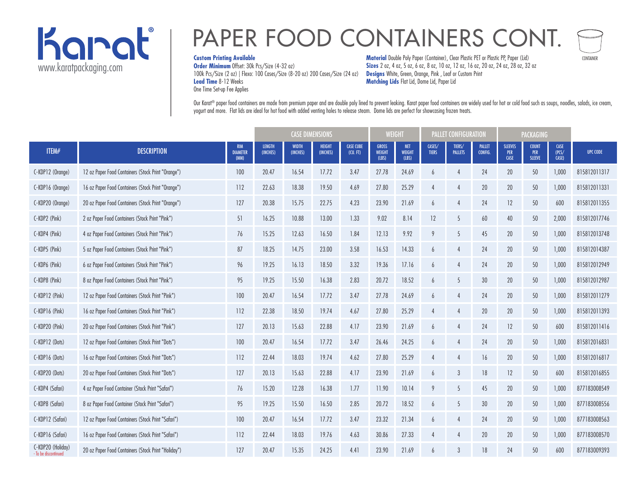

## PAPER FOOD CONTAINERS CONT.

#### **Custom Printing Available**

**Order Minimum** Offset: 30k Pcs/Size (4-32 oz) 100k Pcs/Size (2 oz) | Flexo: 100 Cases/Size (8-20 oz) 200 Cases/Size (24 oz) **Lead Time** 8-12 Weeks One Time Set-up Fee Applies

**Material** Double Poly Paper (Container), Clear Plastic PET or Plastic PP, Paper (Lid) **Sizes** 2 oz, 4 oz, 5 oz, 6 oz, 8 oz, 10 oz, 12 oz, 16 oz, 20 oz, 24 oz, 28 oz, 32 oz **Designs** White, Green, Orange, Pink , Leaf or Custom Print **Matching Lids** Flat Lid, Dome Lid, Paper Lid

CONTAINER

Our Karat® paper food containers are made from premium paper and are double poly lined to prevent leaking. Karat paper food containers are widely used for hot or cold food such as soups, noodles, salads, ice cream, yogurt and more. Flat lids are ideal for hot food with added venting holes to release steam. Dome lids are perfect for showcasing frozen treats.

|                                           |                                                     |                                       | <b>CASE DIMENSIONS</b>    |                          |                           | WEIGHT                      |                                        | <b>PALLET CONFIGURATION</b>          |                        |                          | <b>PACKAGING</b>         |                                      |                                      |                               |                 |
|-------------------------------------------|-----------------------------------------------------|---------------------------------------|---------------------------|--------------------------|---------------------------|-----------------------------|----------------------------------------|--------------------------------------|------------------------|--------------------------|--------------------------|--------------------------------------|--------------------------------------|-------------------------------|-----------------|
| ITEM#                                     | <b>DESCRIPTION</b>                                  | <b>RIM</b><br><b>DIAMETER</b><br>(MM) | <b>LENGTH</b><br>(INCHES) | <b>WIDTH</b><br>(INCHES) | <b>HEIGHT</b><br>(INCHES) | <b>CASE CUBE</b><br>(U. FI) | <b>GROSS</b><br><b>WEIGHT</b><br>(LBS) | <b>NET</b><br><b>WEIGHT</b><br>(LBS) | CASES/<br><b>TIERS</b> | TIERS/<br><b>PALLETS</b> | <b>PALLET</b><br>CONFIG. | <b>SLEEVES</b><br>PER<br><b>CASE</b> | <b>COUNT</b><br>PER<br><b>SLEEVE</b> | <b>CASE</b><br>(PCS/<br>CASE) | <b>UPC CODE</b> |
| C-KDP12 (Orange)                          | 12 oz Paper Food Containers (Stock Print "Orange")  | 100                                   | 20.47                     | 16.54                    | 17.72                     | 3.47                        | 27.78                                  | 24.69                                | 6                      |                          | 24                       | 20                                   | 50                                   | 1,000                         | 815812011317    |
| C-KDP16 (Orange)                          | 16 oz Paper Food Containers (Stock Print "Orange")  | 112                                   | 22.63                     | 18.38                    | 19.50                     | 4.69                        | 27.80                                  | 25.29                                | 4                      |                          | 20                       | 20                                   | 50                                   | 1,000                         | 815812011331    |
| C-KDP20 (Orange)                          | 20 oz Paper Food Containers (Stock Print "Orange")  | 127                                   | 20.38                     | 15.75                    | 22.75                     | 4.23                        | 23.90                                  | 21.69                                | 6                      |                          | 24                       | 12                                   | 50                                   | 600                           | 815812011355    |
| C-KDP2 (Pink)                             | 2 oz Paper Food Containers (Stock Print "Pink")     | 51                                    | 16.25                     | 10.88                    | 13.00                     | 1.33                        | 9.02                                   | 8.14                                 | 12                     | 5                        | 60                       | 40                                   | 50                                   | 2,000                         | 815812017746    |
| C-KDP4 (Pink)                             | 4 oz Paper Food Containers (Stock Print "Pink")     | 76                                    | 15.25                     | 12.63                    | 16.50                     | 1.84                        | 12.13                                  | 9.92                                 | 9                      | 5                        | 45                       | 20                                   | 50                                   | 1,000                         | 815812013748    |
| C-KDP5 (Pink)                             | 5 oz Paper Food Containers (Stock Print "Pink")     | 87                                    | 18.25                     | 14.75                    | 23.00                     | 3.58                        | 16.53                                  | 14.33                                | 6                      |                          | 24                       | 20                                   | 50                                   | 1,000                         | 815812014387    |
| C-KDP6 (Pink)                             | 6 oz Paper Food Containers (Stock Print "Pink")     | 96                                    | 19.25                     | 16.13                    | 18.50                     | 3.32                        | 19.36                                  | 17.16                                | $\overline{6}$         |                          | 24                       | 20                                   | 50                                   | 1,000                         | 815812012949    |
| C-KDP8 (Pink)                             | 8 oz Paper Food Containers (Stock Print "Pink")     | 95                                    | 19.25                     | 15.50                    | 16.38                     | 2.83                        | 20.72                                  | 18.52                                | 6                      | 5                        | 30                       | 20                                   | 50                                   | 1,000                         | 815812012987    |
| C-KDP12 (Pink)                            | 12 oz Paper Food Containers (Stock Print "Pink")    | 100                                   | 20.47                     | 16.54                    | 17.72                     | 3.47                        | 27.78                                  | 24.69                                | $\overline{6}$         |                          | 24                       | 20                                   | 50                                   | 1,000                         | 815812011279    |
| C-KDP16 (Pink)                            | 16 oz Paper Food Containers (Stock Print "Pink")    | 112                                   | 22.38                     | 18.50                    | 19.74                     | 4.67                        | 27.80                                  | 25.29                                | 4                      |                          | 20                       | 20                                   | 50                                   | 1,000                         | 815812011393    |
| C-KDP20 (Pink)                            | 20 oz Paper Food Containers (Stock Print "Pink")    | 127                                   | 20.13                     | 15.63                    | 22.88                     | 4.17                        | 23.90                                  | 21.69                                | $\overline{6}$         |                          | 24                       | 12                                   | 50                                   | 600                           | 815812011416    |
| C-KDP12 (Dots)                            | 12 oz Paper Food Containers (Stock Print "Dots")    | 100                                   | 20.47                     | 16.54                    | 17.72                     | 3.47                        | 26.46                                  | 24.25                                | $\overline{6}$         |                          | 24                       | 20                                   | 50                                   | 1,000                         | 815812016831    |
| C-KDP16 (Dots)                            | 16 oz Paper Food Containers (Stock Print "Dots")    | 112                                   | 22.44                     | 18.03                    | 19.74                     | 4.62                        | 27.80                                  | 25.29                                | $\overline{4}$         | 4                        | 16                       | 20                                   | 50                                   | 1,000                         | 815812016817    |
| C-KDP20 (Dots)                            | 20 oz Paper Food Containers (Stock Print "Dots")    | 127                                   | 20.13                     | 15.63                    | 22.88                     | 4.17                        | 23.90                                  | 21.69                                | $\overline{6}$         | 3                        | 18                       | 12                                   | 50                                   | 600                           | 815812016855    |
| C-KDP4 (Safari)                           | 4 oz Paper Food Container (Stock Print "Safari")    | 76                                    | 15.20                     | 12.28                    | 16.38                     | 1.77                        | 11.90                                  | 10.14                                | 9                      | 5                        | 45                       | 20                                   | 50                                   | 1,000                         | 877183008549    |
| C-KDP8 (Safari)                           | 8 oz Paper Food Container (Stock Print "Safari")    | 95                                    | 19.25                     | 15.50                    | 16.50                     | 2.85                        | 20.72                                  | 18.52                                | $\overline{6}$         | 5                        | 30                       | 20                                   | 50                                   | 1,000                         | 877183008556    |
| C-KDP12 (Safari)                          | 12 oz Paper Food Containers (Stock Print "Safari")  | 100                                   | 20.47                     | 16.54                    | 17.72                     | 3.47                        | 23.32                                  | 21.34                                | 6                      | 4                        | 24                       | 20                                   | 50                                   | 1,000                         | 877183008563    |
| C-KDP16 (Safari)                          | 16 oz Paper Food Containers (Stock Print "Safari")  | 112                                   | 22.44                     | 18.03                    | 19.76                     | 4.63                        | 30.86                                  | 27.33                                | $\overline{4}$         |                          | 20                       | 20                                   | 50                                   | 1,000                         | 877183008570    |
| C-KDP20 (Holiday)<br>- To be discontinued | 20 oz Paper Food Containers (Stock Print "Holiday") | 127                                   | 20.47                     | 15.35                    | 24.25                     | 4.41                        | 23.90                                  | 21.69                                | $\overline{6}$         | $\mathcal{E}$            | 18                       | 24                                   | 50                                   | 600                           | 877183009393    |